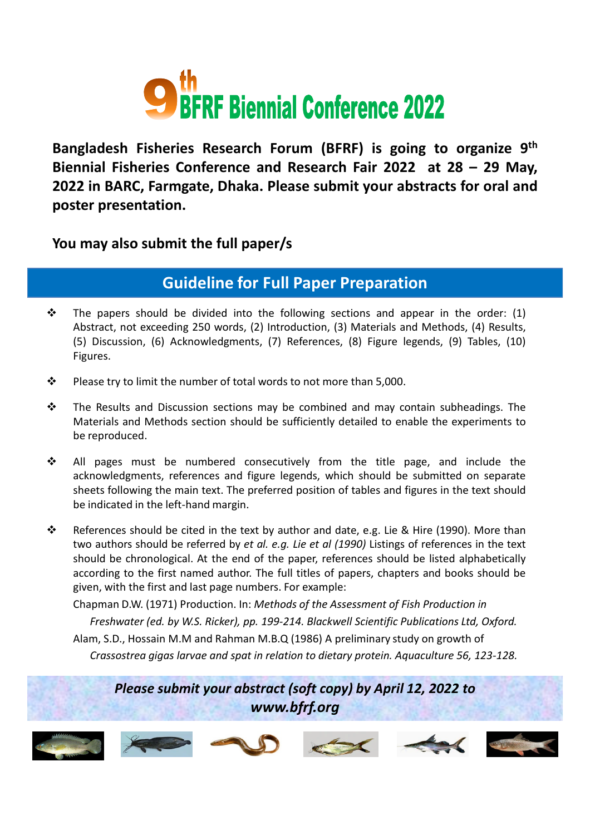

**Bangladesh Fisheries Research Forum (BFRF) is going to organize 9th Biennial Fisheries Conference and Research Fair 2022 at 28 – 29 May, 2022 in BARC, Farmgate, Dhaka. Please submit your abstracts for oral and poster presentation.**

**You may also submit the full paper/s**

## **Guideline for Full Paper Preparation**

- $\cdot \cdot$  The papers should be divided into the following sections and appear in the order: (1) Abstract, not exceeding 250 words, (2) Introduction, (3) Materials and Methods, (4) Results, (5) Discussion, (6) Acknowledgments, (7) References, (8) Figure legends, (9) Tables, (10) Figures.
- $\cdot \cdot$  Please try to limit the number of total words to not more than 5,000.
- $\cdot \cdot$  The Results and Discussion sections may be combined and may contain subheadings. The Materials and Methods section should be sufficiently detailed to enable the experiments to be reproduced.
- All pages must be numbered consecutively from the title page, and include the acknowledgments, references and figure legends, which should be submitted on separate sheets following the main text. The preferred position of tables and figures in the text should be indicated in the left-hand margin.
- References should be cited in the text by author and date, e.g. Lie & Hire (1990). More than two authors should be referred by *et al. e.g. Lie et al (1990)* Listings of references in the text should be chronological. At the end of the paper, references should be listed alphabetically according to the first named author. The full titles of papers, chapters and books should be given, with the first and last page numbers. For example:

Chapman D.W. (1971) Production. In: *Methods of the Assessment of Fish Production in*

*Freshwater (ed. by W.S. Ricker), pp. 199-214. Blackwell Scientific Publications Ltd, Oxford.*

Alam, S.D., Hossain M.M and Rahman M.B.Q (1986) A preliminary study on growth of *Crassostrea gigas larvae and spat in relation to dietary protein. Aquaculture 56, 123-128.*

*Please submit your abstract (soft copy) by April 12, 2022 to www.bfrf.org*

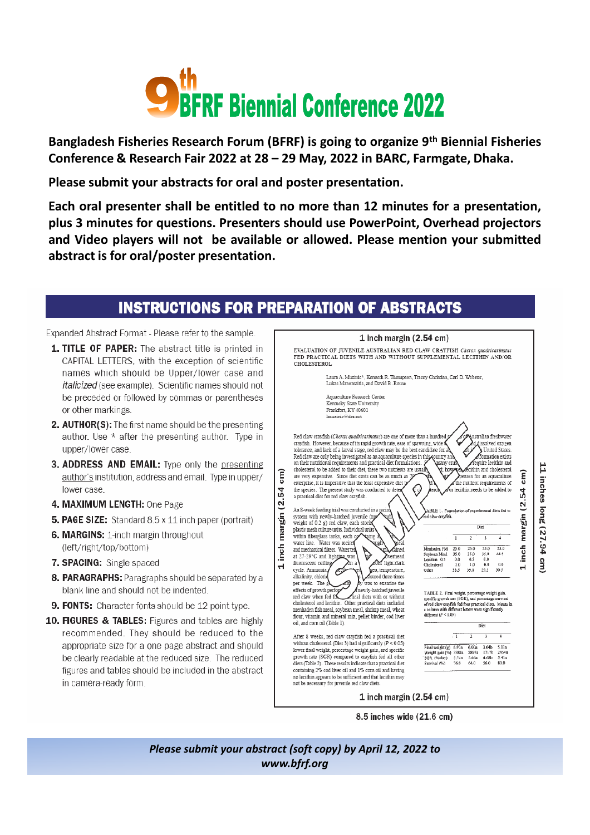

Bangladesh Fisheries Research Forum (BFRF) is going to organize 9<sup>th</sup> Biennial Fisheries Conference & Research Fair 2022 at 28 - 29 May, 2022 in BARC, Farmgate, Dhaka.

Please submit your abstracts for oral and poster presentation.

Each oral presenter shall be entitled to no more than 12 minutes for a presentation, plus 3 minutes for questions. Presenters should use PowerPoint, Overhead projectors and Video players will not be available or allowed. Please mention your submitted abstract is for oral/poster presentation.

## **INSTRUCTIONS FOR PREPARATION OF ABSTRACTS**

Expanded Abstract Format - Please refer to the sample.

- **1. TITLE OF PAPER:** The abstract title is printed in CAPITAL LETTERS, with the exception of scientific names which should be Upper/lower case and italicized (see example). Scientific names should not be preceded or followed by commas or parentheses or other markings.
- 2. AUTHOR(S): The first name should be the presenting author. Use \* after the presenting author. Type in upper/lower case.
- 3. ADDRESS AND EMAIL: Type only the presenting author's institution, address and email. Type in upper/ lower case.
- 4. MAXIMUM LENGTH: One Page
- **5. PAGE SIZE:** Standard 8.5 x 11 inch paper (portrait)
- 6. MARGINS: 1-inch margin throughout (left/right/top/bottom)
- 7. SPACING: Single spaced
- 8. PARAGRAPHS: Paragraphs should be separated by a blank line and should not be indented.
- 9. FONTS: Character fonts should be 12 point type.
- 10. FIGURES & TABLES: Figures and tables are highly recommended. They should be reduced to the appropriate size for a one page abstract and should be clearly readable at the reduced size. The reduced figures and tables should be included in the abstract in camera-ready form.

|                                                                                             |                                                                                                                                                                                 |                                                                                                                                                                                                                                                                                                                                                                                                                                                                                                              | 1 inch margin (2.54 cm)                                                                                                                                                                                                                                                              |                           |                                       |                          |                                                                                                                                                                                                                                              |                       |
|---------------------------------------------------------------------------------------------|---------------------------------------------------------------------------------------------------------------------------------------------------------------------------------|--------------------------------------------------------------------------------------------------------------------------------------------------------------------------------------------------------------------------------------------------------------------------------------------------------------------------------------------------------------------------------------------------------------------------------------------------------------------------------------------------------------|--------------------------------------------------------------------------------------------------------------------------------------------------------------------------------------------------------------------------------------------------------------------------------------|---------------------------|---------------------------------------|--------------------------|----------------------------------------------------------------------------------------------------------------------------------------------------------------------------------------------------------------------------------------------|-----------------------|
| <b>CHOLESTEROL</b>                                                                          |                                                                                                                                                                                 |                                                                                                                                                                                                                                                                                                                                                                                                                                                                                                              | EVALUATION OF JUVENILE AUSTRALIAN RED CLAW CRAYFISH Cherax quadricarinatus<br>FED PRACTICAL DIETS WITH AND WITHOUT SUPPLEMENTAL LECITHIN AND/OR                                                                                                                                      |                           |                                       |                          |                                                                                                                                                                                                                                              |                       |
|                                                                                             |                                                                                                                                                                                 | Lukas Manomaitis, and David B. Rouse                                                                                                                                                                                                                                                                                                                                                                                                                                                                         | Laura A. Muzinic*, Kenneth R. Thompson, Tracey Christian, Carl D. Webster,                                                                                                                                                                                                           |                           |                                       |                          |                                                                                                                                                                                                                                              |                       |
|                                                                                             | Aquaculture Research Center<br>Kentucky State University<br>Frankfort, KY 40601<br>Imuzinic@dcr.net                                                                             |                                                                                                                                                                                                                                                                                                                                                                                                                                                                                                              |                                                                                                                                                                                                                                                                                      |                           |                                       |                          |                                                                                                                                                                                                                                              |                       |
|                                                                                             | a practical diet for red claw cravfish.<br>An 8-week feeding trial was conducted in a recird<br>system with newly-hatched juvenile (ma<br>weight of 0.2 g) red claw, each stock | Red claw crayfish (Cherax quadricarinatus) are one of more than a hundred;<br>crayfish. However, because of its rapid growth rate, ease of spawning, wide f<br>on their nutritional requirements and practical diet formulations. S<br>cholesterol to be added to their diet, these two nutrients are usuall<br>are very expensive. Since diet costs can be as much as $\mathcal Y$<br>enterprise, it is imperative that the least expensive diet b<br>the species. The present study was conducted to detex | tolerance, and lack of a larval stage, red claw may be the best candidate for ab<br>Red claw are only being investigated as an aquaculture species in this country and<br>many crus<br>d: how<br>(∮<br>terc<br>ABLE 1. Formulation of experimental diets fed to<br>ed claw crayfish. |                           |                                       | Diet                     | <b>Australian freshwater</b><br>d dissolved oxygen<br>United States.<br>formation exists<br>require lecithin and<br>ecithin and cholesterol<br>penses for an aquaculture<br>the nutrient requirements of<br>or lecithin needs to be added to | inch margin (2.54 cm) |
|                                                                                             | plastic mesh culture units. Individual units'<br>within fiberglass tanks, each co                                                                                               |                                                                                                                                                                                                                                                                                                                                                                                                                                                                                                              |                                                                                                                                                                                                                                                                                      |                           |                                       |                          |                                                                                                                                                                                                                                              |                       |
|                                                                                             | water line. Water was recirct                                                                                                                                                   | ining<br>fained<br>sverhead                                                                                                                                                                                                                                                                                                                                                                                                                                                                                  | Menhaden FM<br>Soybean Meal<br>Lecithin 0.5                                                                                                                                                                                                                                          | I.<br>25.0<br>35.0<br>0.0 | $\overline{z}$<br>25.0<br>35.0<br>0.5 | 3<br>25.0<br>35.0<br>0.0 | 4<br>25.0<br>44.5                                                                                                                                                                                                                            |                       |
| fluorescent ceiling<br>cycle. Ammonia,                                                      | and mechanical filters. Water ter<br>at 27-29°C and lighting was<br>ðn a                                                                                                        | <b>Ouf</b> light:dark<br>gen, temperature,                                                                                                                                                                                                                                                                                                                                                                                                                                                                   | Cholesterol<br>Other                                                                                                                                                                                                                                                                 | 1.0<br>38.5               | 1.0<br>39.0                           | 0.0<br>39.5              | 0.0<br>30.5                                                                                                                                                                                                                                  |                       |
| alkalinity, chlorid<br>per week. The g<br>effects of growth perfort<br>red claw when fed fo | oil, and corn oil (Table 1).                                                                                                                                                    | asured three times<br>ly was to examine the<br>newly-hatched juvenile<br>ctical diets with or without<br>cholesterol and lecithin. Other practical diets included<br>menhaden fish meal, soybean meal, shrimp meal, wheat<br>flour, vitamin and mineral mix, pellet binder, cod liver                                                                                                                                                                                                                        | TABLE 2. Final weight, percentage weight gain,<br>specific growth rate (SGR), and percentage survival<br>of red claw crayfish fed four practical diets. Means in<br>a column with different letters were significantly<br>different $(P < 0.05)$                                     |                           |                                       | Dict                     |                                                                                                                                                                                                                                              |                       |
|                                                                                             |                                                                                                                                                                                 | After 8 weeks, red claw crayfish fed a practical diet                                                                                                                                                                                                                                                                                                                                                                                                                                                        |                                                                                                                                                                                                                                                                                      | $\cdot$ 1                 | 2                                     | 3                        | 4                                                                                                                                                                                                                                            |                       |

8.5 inches wide (21.6 cm)

Please submit your abstract (soft copy) by April 12, 2022 to www.bfrf.org